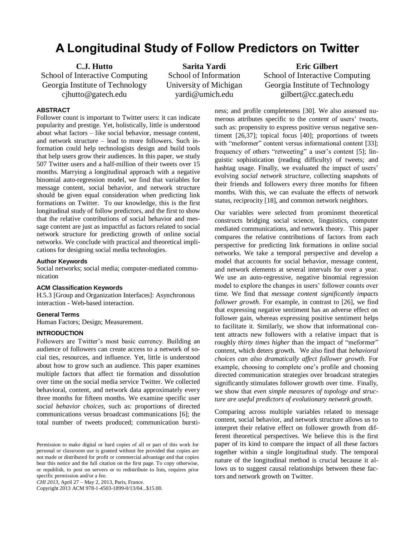# **A Longitudinal Study of Follow Predictors on Twitter**

**C.J. Hutto** School of Interactive Computing Georgia Institute of Technology cjhutto@gatech.edu

**Sarita Yardi** School of Information University of Michigan yardi@umich.edu

**Eric Gilbert** School of Interactive Computing Georgia Institute of Technology gilbert@cc.gatech.edu

# **ABSTRACT**

Follower count is important to Twitter users: it can indicate popularity and prestige. Yet, holistically, little is understood about what factors – like social behavior, message content, and network structure – lead to more followers. Such information could help technologists design and build tools that help users grow their audiences. In this paper, we study 507 Twitter users and a half-million of their tweets over 15 months. Marrying a longitudinal approach with a negative binomial auto-regression model, we find that variables for message content, social behavior, and network structure should be given equal consideration when predicting link formations on Twitter. To our knowledge, this is the first longitudinal study of follow predictors, and the first to show that the relative contributions of social behavior and message content are just as impactful as factors related to social network structure for predicting growth of online social networks. We conclude with practical and theoretical implications for designing social media technologies.

**Author Keywords**

Social networks; social media; computer-mediated communication

#### **ACM Classification Keywords**

H.5.3 [Group and Organization Interfaces]: Asynchronous interaction - Web-based interaction.

#### **General Terms**

Human Factors; Design; Measurement.

#### **INTRODUCTION**

Followers are Twitter's most basic currency. Building an audience of followers can create access to a network of social ties, resources, and influence. Yet, little is understood about how to grow such an audience. This paper examines multiple factors that affect tie formation and dissolution over time on the social media service Twitter. We collected behavioral, content, and network data approximately every three months for fifteen months. We examine specific user *social behavior choices*, such as: proportions of directed communications versus broadcast communications [6]; the total number of tweets produced; communication bursti-

*CHI 2013,* April 27 – May 2, 2013, Paris, France.

Copyright 2013 ACM 978-1-4503-1899-0/13/04...\$15.00.

ness; and profile completeness [30]. We also assessed numerous attributes specific to the *content* of users' tweets, such as: propensity to express positive versus negative sentiment [26,37]; topical focus [40]; proportions of tweets with "meformer" content versus informational content [33]; frequency of others "retweeting" a user's content [5]; linguistic sophistication (reading difficulty) of tweets; and hashtag usage. Finally, we evaluated the impact of users' evolving *social network structure*, collecting snapshots of their friends and followers every three months for fifteen months. With this, we can evaluate the effects of network status, reciprocity [18], and common network neighbors.

Our variables were selected from prominent theoretical constructs bridging social science, linguistics, computer mediated communications, and network theory. This paper compares the relative contributions of factors from each perspective for predicting link formations in online social networks. We take a temporal perspective and develop a model that accounts for social behavior, message content, and network elements at several intervals for over a year. We use an auto-regressive, negative binomial regression model to explore the changes in users' follower counts over time. We find that *message content significantly impacts follower growth*. For example, in contrast to [26], we find that expressing negative sentiment has an adverse effect on follower gain, whereas expressing positive sentiment helps to facilitate it. Similarly, we show that informational content attracts new followers with a relative impact that is roughly *thirty times higher* than the impact of "meformer" content, which deters growth. We also find that *behavioral choices can also dramatically affect follower growth*. For example, choosing to complete one's profile and choosing directed communication strategies over broadcast strategies significantly stimulates follower growth over time. Finally, we show that *even simple measures of topology and structure are useful predictors of evolutionary network growth*.

Comparing across multiple variables related to message content, social behavior, and network structure allows us to interpret their relative effect on follower growth from different theoretical perspectives. We believe this is the first paper of its kind to compare the impact of all these factors together within a single longitudinal study. The temporal nature of the longitudinal method is crucial because it allows us to suggest causal relationships between these factors and network growth on Twitter.

Permission to make digital or hard copies of all or part of this work for personal or classroom use is granted without fee provided that copies are not made or distributed for profit or commercial advantage and that copies bear this notice and the full citation on the first page. To copy otherwise, or republish, to post on servers or to redistribute to lists, requires prior specific permission and/or a fee.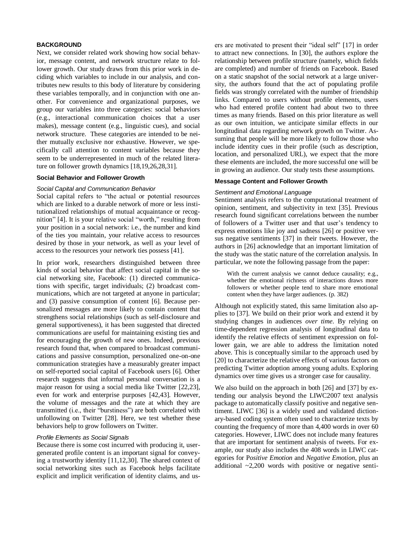# **BACKGROUND**

Next, we consider related work showing how social behavior, message content, and network structure relate to follower growth. Our study draws from this prior work in deciding which variables to include in our analysis, and contributes new results to this body of literature by considering these variables temporally, and in conjunction with one another. For convenience and organizational purposes, we group our variables into three categories: social behaviors (e.g., interactional communication choices that a user makes), message content (e.g., linguistic cues), and social network structure. These categories are intended to be neither mutually exclusive nor exhaustive. However, we specifically call attention to content variables because they seem to be underrepresented in much of the related literature on follower growth dynamics [18,19,26,28,31].

#### **Social Behavior and Follower Growth**

#### *Social Capital and Communication Behavior*

Social capital refers to "the actual or potential resources which are linked to a durable network of more or less institutionalized relationships of mutual acquaintance or recognition" [4]. It is your relative social "worth," resulting from your position in a social network: i.e., the number and kind of the ties you maintain, your relative access to resources desired by those in your network, as well as your level of access to the resources your network ties possess [41].

In prior work, researchers distinguished between three kinds of social behavior that affect social capital in the social networking site, Facebook: (1) directed communications with specific, target individuals; (2) broadcast communications, which are not targeted at anyone in particular; and (3) passive consumption of content [6]. Because personalized messages are more likely to contain content that strengthens social relationships (such as self-disclosure and general supportiveness), it has been suggested that directed communications are useful for maintaining existing ties and for encouraging the growth of new ones. Indeed, previous research found that, when compared to broadcast communications and passive consumption, personalized one-on-one communication strategies have a measurably greater impact on self-reported social capital of Facebook users [6]. Other research suggests that informal personal conversation is a major reason for using a social media like Twitter [22,23], even for work and enterprise purposes [42,43]. However, the volume of messages and the rate at which they are transmitted (i.e., their "burstiness") are both correlated with unfollowing on Twitter [28]. Here, we test whether these behaviors help to grow followers on Twitter.

#### *Profile Elements as Social Signals*

Because there is some cost incurred with producing it, usergenerated profile content is an important signal for conveying a trustworthy identity [11,12,30]. The shared context of social networking sites such as Facebook helps facilitate explicit and implicit verification of identity claims, and users are motivated to present their "ideal self" [17] in order to attract new connections. In [30], the authors explore the relationship between profile structure (namely, which fields are completed) and number of friends on Facebook. Based on a static snapshot of the social network at a large university, the authors found that the act of populating profile fields was strongly correlated with the number of friendship links. Compared to users without profile elements, users who had entered profile content had about two to three times as many friends. Based on this prior literature as well as our own intuition, we anticipate similar effects in our longitudinal data regarding network growth on Twitter. Assuming that people will be more likely to follow those who include identity cues in their profile (such as description, location, and personalized URL), we expect that the more these elements are included, the more successful one will be in growing an audience. Our study tests these assumptions.

#### **Message Content and Follower Growth**

#### *Sentiment and Emotional Language*

Sentiment analysis refers to the computational treatment of opinion, sentiment, and subjectivity in text [35]. Previous research found significant correlations between the number of followers of a Twitter user and that user's tendency to express emotions like joy and sadness [26] or positive versus negative sentiments [37] in their tweets. However, the authors in [26] acknowledge that an important limitation of the study was the static nature of the correlation analysis. In particular, we note the following passage from the paper:

With the current analysis we cannot deduce causality; e.g., whether the emotional richness of interactions draws more followers or whether people tend to share more emotional content when they have larger audiences. (p. 382)

Although not explicitly stated, this same limitation also applies to [37]. We build on their prior work and extend it by studying changes in audiences *over time*. By relying on time-dependent regression analysis of longitudinal data to identify the relative effects of sentiment expression on follower gain, we are able to address the limitation noted above. This is conceptually similar to the approach used by [20] to characterize the relative effects of various factors on predicting Twitter adoption among young adults. Exploring dynamics over time gives us a stronger case for causality.

We also build on the approach in both [26] and [37] by extending our analysis beyond the LIWC2007 text analysis package to automatically classify positive and negative sentiment. LIWC [36] is a widely used and validated dictionary-based coding system often used to characterize texts by counting the frequency of more than 4,400 words in over 60 categories. However, LIWC does not include many features that are important for sentiment analysis of tweets. For example, our study also includes the 408 words in LIWC categories for P*ositive Emotion* and *Negative Emotion*, plus an additional  $\sim$ 2,200 words with positive or negative senti-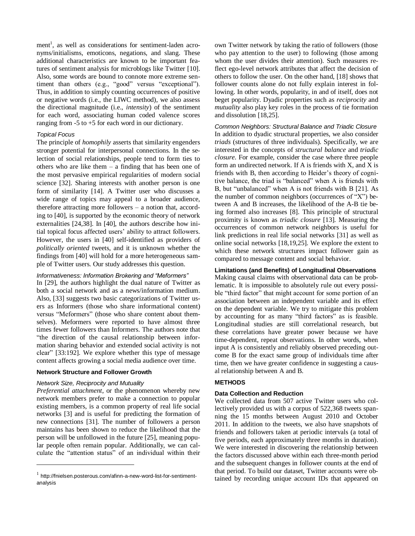ment<sup>1</sup>, as well as considerations for sentiment-laden acronyms/initialisms, emoticons, negations, and slang. These additional characteristics are known to be important features of sentiment analysis for microblogs like Twitter [10]. Also, some words are bound to connote more extreme sentiment than others (e.g., "good" versus "exceptional"). Thus, in addition to simply counting occurrences of positive or negative words (i.e., the LIWC method), we also assess the directional magnitude (i.e., *intensity*) of the sentiment for each word, associating human coded valence scores ranging from -5 to +5 for each word in our dictionary.

# *Topical Focus*

The principle of *homophily* asserts that similarity engenders stronger potential for interpersonal connections. In the selection of social relationships, people tend to form ties to others who are like them  $-$  a finding that has been one of the most pervasive empirical regularities of modern social science [32]. Sharing interests with another person is one form of similarity [14]. A Twitter user who discusses a wide range of topics may appeal to a broader audience, therefore attracting more followers – a notion that, according to [40], is supported by the economic theory of network externalities [24,38]. In [40], the authors describe how initial topical focus affected users' ability to attract followers. However, the users in [40] self-identified as providers of *politically oriented* tweets, and it is unknown whether the findings from [40] will hold for a more heterogeneous sample of Twitter users. Our study addresses this question.

# *Informativeness: Information Brokering and "Meformers"*

In [29], the authors highlight the dual nature of Twitter as both a social network and as a news/information medium. Also, [33] suggests two basic categorizations of Twitter users as Informers (those who share informational content) versus "Meformers" (those who share content about themselves). Meformers were reported to have almost three times fewer followers than Informers. The authors note that "the direction of the causal relationship between information sharing behavior and extended social activity is not clear" [33:192]. We explore whether this type of message content affects growing a social media audience over time.

# **Network Structure and Follower Growth**

#### *Network Size, Reciprocity and Mutuality*

 $\overline{\phantom{a}}$ 

*Preferential attachment*, or the phenomenon whereby new network members prefer to make a connection to popular existing members, is a common property of real life social networks [3] and is useful for predicting the formation of new connections [31]. The number of followers a person maintains has been shown to reduce the likelihood that the person will be unfollowed in the future [25], meaning popular people often remain popular. Additionally, we can calculate the "attention status" of an individual within their own Twitter network by taking the ratio of followers (those who pay attention to the user) to following (those among whom the user divides their attention). Such measures reflect ego-level network attributes that affect the decision of others to follow the user. On the other hand, [18] shows that follower counts alone do not fully explain interest in following. In other words, popularity, in and of itself, does not beget popularity. Dyadic properties such as *reciprocity* and *mutuality* also play key roles in the process of tie formation and dissolution [18,25].

*Common Neighbors: Structural Balance and Triadic Closure* In addition to dyadic structural properties, we also consider *triads* (structures of three individuals). Specifically, we are interested in the concepts of *structural balance* and *triadic closure*. For example, consider the case where three people form an undirected network. If A is friends with X, and X is friends with B, then according to Heider's theory of cognitive balance, the triad is "balanced" when A is friends with B, but "unbalanced" when A is not friends with B [21]. As the number of common neighbors (occurrences of "X") between A and B increases, the likelihood of the A-B tie being formed also increases [8]. This principle of structural proximity is known as *triadic closure* [13]. Measuring the occurrences of common network neighbors is useful for link predictions in real life social networks [31] as well as online social networks [18,19,25]. We explore the extent to which these network structures impact follower gain as compared to message content and social behavior.

# **Limitations (and Benefits) of Longitudinal Observations**

Making causal claims with observational data can be problematic. It is impossible to absolutely rule out every possible "third factor" that might account for some portion of an association between an independent variable and its effect on the dependent variable. We try to mitigate this problem by accounting for as many "third factors" as is feasible. Longitudinal studies are still correlational research, but these correlations have greater power because we have time-dependent, repeat observations. In other words, when input A is consistently and reliably observed preceding outcome B for the exact same group of individuals time after time, then we have greater confidence in suggesting a causal relationship between A and B.

# **METHODS**

#### **Data Collection and Reduction**

We collected data from 507 active Twitter users who collectively provided us with a corpus of 522,368 tweets spanning the 15 months between August 2010 and October 2011. In addition to the tweets, we also have snapshots of friends and followers taken at periodic intervals (a total of five periods, each approximately three months in duration). We were interested in discovering the relationship between the factors discussed above within each three-month period and the subsequent changes in follower counts at the end of that period. To build our dataset, Twitter accounts were obtained by recording unique account IDs that appeared on

 $1$  http://fnielsen.posterous.com/afinn-a-new-word-list-for-sentimentanalysis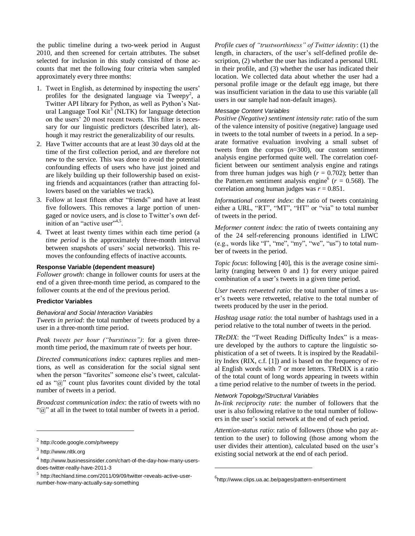the public timeline during a two-week period in August 2010, and then screened for certain attributes. The subset selected for inclusion in this study consisted of those accounts that met the following four criteria when sampled approximately every three months:

- 1. Tweet in English, as determined by inspecting the users' profiles for the designated language via  $\overline{T}$ weepy<sup>2</sup>, a Twitter API library for Python, as well as Python's Natural Language Tool  $\text{Kit}^3$  (NLTK) for language detection on the users' 20 most recent tweets. This filter is necessary for our linguistic predictors (described later), although it may restrict the generalizability of our results.
- 2. Have Twitter accounts that are at least 30 days old at the time of the first collection period, and are therefore not new to the service. This was done to avoid the potential confounding effects of users who have just joined and are likely building up their followership based on existing friends and acquaintances (rather than attracting followers based on the variables we track).
- 3. Follow at least fifteen other "friends" and have at least five followers. This removes a large portion of unengaged or novice users, and is close to Twitter's own definition of an "active user" $4.5$ .
- 4. Tweet at least twenty times within each time period (a *time period* is the approximately three-month interval between snapshots of users' social networks). This removes the confounding effects of inactive accounts.

# **Response Variable (dependent measure)**

*Follower growth*: change in follower counts for users at the end of a given three-month time period, as compared to the follower counts at the end of the previous period.

# **Predictor Variables**

## *Behavioral and Social Interaction Variables*

*Tweets in period*: the total number of tweets produced by a user in a three-month time period.

*Peak tweets per hour ("burstiness")*: for a given threemonth time period, the maximum rate of tweets per hour.

*Directed communications index*: captures replies and mentions, as well as consideration for the social signal sent when the person "favorites" someone else's tweet, calculated as " $\hat{a}$ " count plus favorites count divided by the total number of tweets in a period.

*Broadcast communication index*: the ratio of tweets with no " $\mathcal{D}$ " at all in the tweet to total number of tweets in a period.

 $\overline{\phantom{a}}$ 

*Profile cues of "trustworthiness" of Twitter identity*: (1) the length, in characters, of the user's self-defined profile description, (2) whether the user has indicated a personal URL in their profile, and (3) whether the user has indicated their location. We collected data about whether the user had a personal profile image or the default egg image, but there was insufficient variation in the data to use this variable (all users in our sample had non-default images).

# *Message Content Variables*

*Positive (Negative) sentiment intensity rate*: ratio of the sum of the valence intensity of positive (negative) language used in tweets to the total number of tweets in a period. In a separate formative evaluation involving a small subset of tweets from the corpus (*n*=300), our custom sentiment analysis engine performed quite well. The correlation coefficient between our sentiment analysis engine and ratings from three human judges was high  $(r = 0.702)$ ; better than the Pattern.en sentiment analysis engine<sup>6</sup> ( $r = 0.568$ ). The correlation among human judges was  $r = 0.851$ .

*Informational content index*: the ratio of tweets containing either a URL, "RT", "MT", "HT" or "via" to total number of tweets in the period.

*Meformer content index*: the ratio of tweets containing any of the 24 self-referencing pronouns identified in LIWC (e.g., words like "I", "me", "my", "we", "us") to total number of tweets in the period.

*Topic focus*: following [40], this is the average cosine similarity (ranging between 0 and 1) for every unique paired combination of a user's tweets in a given time period.

*User tweets retweeted ratio*: the total number of times a user's tweets were retweeted, relative to the total number of tweets produced by the user in the period.

*Hashtag usage ratio*: the total number of hashtags used in a period relative to the total number of tweets in the period.

*TReDIX*: the "Tweet Reading Difficulty Index" is a measure developed by the authors to capture the linguistic sophistication of a set of tweets. It is inspired by the Readability Index (RIX, c.f. [1]) and is based on the frequency of real English words with 7 or more letters. TReDIX is a ratio of the total count of long words appearing in tweets within a time period relative to the number of tweets in the period.

# *Network Topology/Structural Variables*

 $\overline{a}$ 

*In-link reciprocity rate*: the number of followers that the user is also following relative to the total number of followers in the user's social network at the end of each period.

*Attention-status ratio*: ratio of followers (those who pay attention to the user) to following (those among whom the user divides their attention), calculated based on the user's existing social network at the end of each period.

 $^{2}$  http://code.google.com/p/tweepy

 $3$  http://www.nltk.org

<sup>4</sup> http://www.businessinsider.com/chart-of-the-day-how-many-usersdoes-twitter-really-have-2011-3

<sup>5</sup> http://techland.time.com/2011/09/09/twitter-reveals-active-usernumber-how-many-actually-say-something

<sup>&</sup>lt;sup>6</sup>http://www.clips.ua.ac.be/pages/pattern-en#sentiment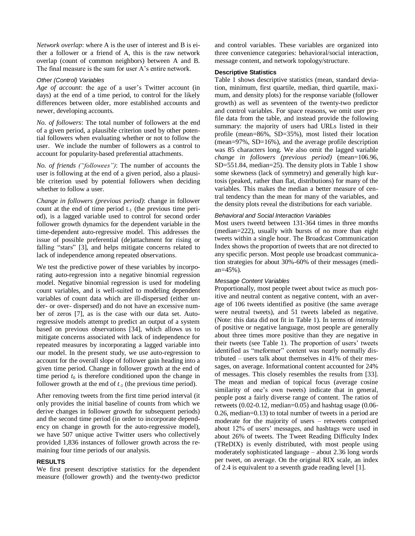*Network overlap*: where A is the user of interest and B is either a follower or a friend of A, this is the raw network overlap (count of common neighbors) between A and B. The final measure is the sum for user A's entire network.

# *Other (Control) Variables*

*Age of account*: the age of a user's Twitter account (in days) at the end of a time period, to control for the likely differences between older, more established accounts and newer, developing accounts.

*No. of followers*: The total number of followers at the end of a given period, a plausible criterion used by other potential followers when evaluating whether or not to follow the user. We include the number of followers as a control to account for popularity-based preferential attachments.

*No. of friends ("followees")*: The number of accounts the user is following at the end of a given period, also a plausible criterion used by potential followers when deciding whether to follow a user.

*Change in followers (previous period)*: change in follower count at the end of time period  $t_{-1}$  (the previous time period), is a lagged variable used to control for second order follower growth dynamics for the dependent variable in the time-dependent auto-regressive model. This addresses the issue of possible preferential (de)attachment for rising or falling "stars" [3], and helps mitigate concerns related to lack of independence among repeated observations.

We test the predictive power of these variables by incorporating auto-regression into a negative binomial regression model. Negative binomial regression is used for modeling count variables, and is well-suited to modeling dependent variables of count data which are ill-dispersed (either under- or over- dispersed) and do not have an excessive number of zeros [7], as is the case with our data set. Autoregressive models attempt to predict an output of a system based on previous observations [34], which allows us to mitigate concerns associated with lack of independence for repeated measures by incorporating a lagged variable into our model. In the present study, we use auto-regression to account for the overall slope of follower gain heading into a given time period. Change in follower growth at the end of time period  $t_0$  is therefore conditioned upon the change in follower growth at the end of *t*-1 (the previous time period).

After removing tweets from the first time period interval (it only provides the initial baseline of counts from which we derive changes in follower growth for subsequent periods) and the second time period (in order to incorporate dependency on change in growth for the auto-regressive model), we have 507 unique active Twitter users who collectively provided 1,836 instances of follower growth across the remaining four time periods of our analysis.

# **RESULTS**

We first present descriptive statistics for the dependent measure (follower growth) and the twenty-two predictor

and control variables. These variables are organized into three convenience categories: behavioral/social interaction, message content, and network topology/structure.

# **Descriptive Statistics**

Table 1 shows descriptive statistics (mean, standard deviation, minimum, first quartile, median, third quartile, maximum, and density plots) for the response variable (follower growth) as well as seventeen of the twenty-two predictor and control variables. For space reasons, we omit user profile data from the table, and instead provide the following summary: the majority of users had URLs listed in their profile (mean=86%, SD=35%), most listed their location (mean=97%, SD=16%), and the average profile description was 85 characters long. We also omit the lagged variable *change in followers (previous period)* (mean=106.96, SD=551.84, median=25). The density plots in Table 1 show some skewness (lack of symmetry) and generally high kurtosis (peaked, rather than flat, distributions) for many of the variables. This makes the median a better measure of central tendency than the mean for many of the variables, and the density plots reveal the distributions for each variable.

# *Behavioral and Social Interaction Variables*

Most users tweetd between 131-364 times in three months (median=222), usually with bursts of no more than eight tweets within a single hour. The Broadcast Communication Index shows the proportion of tweets that are not directed to any specific person. Most people use broadcast communication strategies for about 30%-60% of their messages (medi $an=45\%$ ).

# *Message Content Variables*

Proportionally, most people tweet about twice as much positive and neutral content as negative content, with an average of 106 tweets identified as positive (the same average were neutral tweets), and 51 tweets labeled as negative. (Note: this data did not fit in Table 1). In terms of *intensity* of positive or negative language, most people are generally about three times more positive than they are negative in their tweets (see Table 1). The proportion of users' tweets identified as "meformer" content was nearly normally distributed – users talk about themselves in 41% of their messages, on average. Informational content accounted for 24% of messages. This closely resembles the results from [33]. The mean and median of topical focus (average cosine similarity of one's own tweets) indicate that in general, people post a fairly diverse range of content. The ratios of retweets  $(0.02-0.12, \text{median}=0.05)$  and hashtag usage  $(0.06-$ 0.26, median=0.13) to total number of tweets in a period are moderate for the majority of users – retweets comprised about 12% of users' messages, and hashtags were used in about 26% of tweets. The Tweet Reading Difficulty Index (TReDIX) is evenly distributed, with most people using moderately sophisticated language – about 2.36 long words per tweet, on average. On the original RIX scale, an index of 2.4 is equivalent to a seventh grade reading level [1].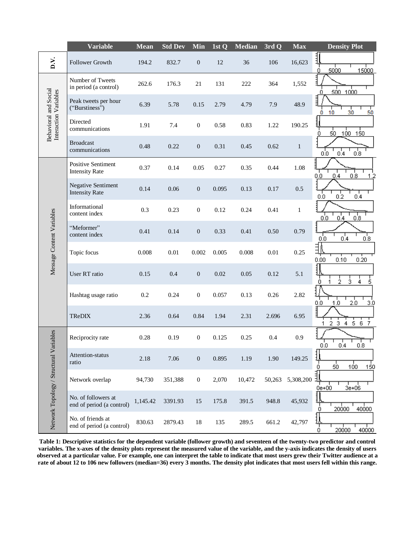|                                                | <b>Variable</b>                                    | <b>Mean</b> | <b>Std Dev</b> | Min              | 1st Q | <b>Median</b> | 3rd Q  | <b>Max</b>   | <b>Density Plot</b>                                     |
|------------------------------------------------|----------------------------------------------------|-------------|----------------|------------------|-------|---------------|--------|--------------|---------------------------------------------------------|
| D.V.                                           | Follower Growth                                    | 194.2       | 832.7          | $\boldsymbol{0}$ | 12    | 36            | 106    | 16,623       | l<br>5000<br>15000<br>n                                 |
| Behavioral and Social<br>Interaction Variables | Number of Tweets<br>in period (a control)          | 262.6       | 176.3          | 21               | 131   | 222           | 364    | 1,552        | 1000<br>500<br>Ω                                        |
|                                                | Peak tweets per hour<br>("Burstiness")             | 6.39        | 5.78           | 0.15             | 2.79  | 4.79          | 7.9    | 48.9         | ┋<br>30<br>50<br>0<br>10                                |
|                                                | Directed<br>communications                         | 1.91        | 7.4            | $\boldsymbol{0}$ | 0.58  | 0.83          | 1.22   | 190.25       | $100 -$<br>50<br>150<br>n                               |
|                                                | <b>Broadcast</b><br>communications                 | 0.48        | 0.22           | $\boldsymbol{0}$ | 0.31  | 0.45          | 0.62   | $\mathbf{1}$ | 0.8<br>0.4<br>0.0                                       |
| Message Content Variables                      | <b>Positive Sentiment</b><br><b>Intensity Rate</b> | 0.37        | 0.14           | 0.05             | 0.27  | 0.35          | 0.44   | 1.08         | 0.8<br>1.2<br>0.4<br>0.0                                |
|                                                | <b>Negative Sentiment</b><br><b>Intensity Rate</b> | 0.14        | 0.06           | $\boldsymbol{0}$ | 0.095 | 0.13          | 0.17   | 0.5          | 0.4<br>0.0<br>0.2                                       |
|                                                | Informational<br>content index                     | 0.3         | 0.23           | $\boldsymbol{0}$ | 0.12  | 0.24          | 0.41   | $\mathbf{1}$ | $_{0.8}$<br>0.4<br>0.0                                  |
|                                                | "Meformer"<br>content index                        | 0.41        | 0.14           | $\boldsymbol{0}$ | 0.33  | 0.41          | 0.50   | 0.79         | 0.4<br>0.8<br>0.0                                       |
|                                                | Topic focus                                        | 0.008       | 0.01           | 0.002            | 0.005 | 0.008         | 0.01   | 0.25         | ∃<br>0.10<br>0.20<br>0.00                               |
|                                                | User RT ratio                                      | 0.15        | 0.4            | $\boldsymbol{0}$ | 0.02  | 0.05          | 0.12   | 5.1          | ▯<br>구<br>0<br>$\frac{1}{2}$<br>$\frac{1}{3}$<br>5<br>4 |
|                                                | Hashtag usage ratio                                | 0.2         | 0.24           | $\boldsymbol{0}$ | 0.057 | 0.13          | 0.26   | 2.82         | 2.0<br>3.0<br>1.0<br>0.0                                |
|                                                | TReDIX                                             | 2.36        | 0.64           | 0.84             | 1.94  | 2.31          | 2.696  | 6.95         | ▌<br>2 <sub>3</sub><br>5.<br>6<br>7<br>4<br>1           |
| Network Topology / Structural Variables        | Reciprocity rate                                   | 0.28        | 0.19           | $\boldsymbol{0}$ | 0.125 | 0.25          | 0.4    | 0.9          | Ι.<br>0.4<br>0.8<br>$_{0.0}$                            |
|                                                | Attention-status<br>ratio                          | 2.18        | 7.06           | $\boldsymbol{0}$ | 0.895 | 1.19          | 1.90   | 149.25       | 50<br>100<br>150<br>0                                   |
|                                                | Network overlap                                    | 94,730      | 351,388        | $\boldsymbol{0}$ | 2,070 | 10,472        | 50,263 | 5,308,200    | $3e + 06$<br>$0e+00$                                    |
|                                                | No. of followers at<br>end of period (a control)   | 1,145.42    | 3391.93        | 15               | 175.8 | 391.5         | 948.8  | 45,932       | 40000<br>20000<br>0                                     |
|                                                | No. of friends at<br>end of period (a control)     | 830.63      | 2879.43        | 18               | 135   | 289.5         | 661.2  | 42,797       | 20000.<br>40000.<br>n                                   |

**Table 1: Descriptive statistics for the dependent variable (follower growth) and seventeen of the twenty-two predictor and control variables. The x-axes of the density plots represent the measured value of the variable, and the y-axis indicates the density of users observed at a particular value. For example, one can interpret the table to indicate that most users grew their Twitter audience at a rate of about 12 to 106 new followers (median=36) every 3 months. The density plot indicates that most users fell within this range.**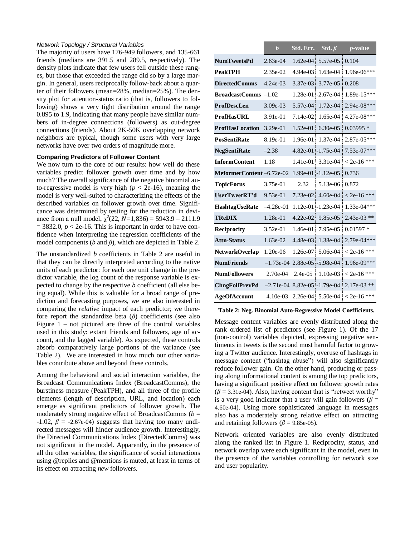## *Network Topology / Structural Variables*

The majority of users have 176-949 followers, and 135-661 friends (medians are 391.5 and 289.5, respectively). The density plots indicate that few users fell outside these ranges, but those that exceeded the range did so by a large margin. In general, users reciprocally follow-back about a quarter of their followers (mean=28%, median=25%). The density plot for attention-status ratio (that is, followers to following) shows a very tight distribution around the range 0.895 to 1.9, indicating that many people have similar numbers of in-degree connections (followers) as out-degree connections (friends). About 2K-50K overlapping network neighbors are typical, though some users with very large networks have over two orders of magnitude more.

#### **Comparing Predictors of Follower Content**

We now turn to the core of our results: how well do these variables predict follower growth over time and by how much? The overall significance of the negative binomial auto-regressive model is very high ( $p < 2e-16$ ), meaning the model is very well-suited to characterizing the effects of the described variables on follower growth over time. Significance was determined by testing for the reduction in deviance from a null model,  $\chi^2(22, N=1,836) = 5943.9 - 2111.9$  $= 3832.0, p < 2e-16$ . This is important in order to have confidence when interpreting the regression coefficients of the model components (*b* and *β*), which are depicted in Table 2.

The unstandardized *b* coefficients in Table 2 are useful in that they can be directly interpreted according to the native units of each predictor: for each one unit change in the predictor variable, the log count of the response variable is expected to change by the respective *b* coefficient (all else being equal). While this is valuable for a broad range of prediction and forecasting purposes, we are also interested in comparing the *relative* impact of each predictor; we therefore report the standardize beta (*β*) coefficients (see also Figure  $1$  – not pictured are three of the control variables used in this study: extant friends and followers, age of account, and the lagged variable). As expected, these controls absorb comparatively large portions of the variance (see Table 2). We are interested in how much our other variables contribute above and beyond these controls.

Among the behavioral and social interaction variables, the Broadcast Communications Index (BroadcastComms), the burstiness measure (PeakTPH), and all three of the profile elements (length of description, URL, and location) each emerge as significant predictors of follower growth. The moderately strong negative effect of BroadcastComms ( $b =$  $-1.02$ ,  $\beta$  =  $-2.67e-04$ ) suggests that having too many undirected messages will hinder audience growth. Interestingly, the Directed Communications Index (DirectedComms) was not significant in the model. Apparently, in the presence of all the other variables, the significance of social interactions using @replies and @mentions is muted, at least in terms of its effect on attracting *new* followers.

|                               | b                              | Std. Err.  | Std. $\beta$          | $p$ -value    |
|-------------------------------|--------------------------------|------------|-----------------------|---------------|
| <b>NumTweetsPd</b>            | 2.63e-04                       | $1.62e-04$ | 5.57e-05              | 0.104         |
| <b>PeakTPH</b>                | $2.35e-02$                     | 4.94e-03   | $1.63e-04$            | $1.96e-06***$ |
| <b>DirectedComms</b>          | $4.24e-03$                     | $3.37e-03$ | 3.77e-05              | 0.208         |
| <b>BroadcastComms</b> $-1.02$ |                                |            | $1.28e-01$ -2.67e-04  | 1.89e-15***   |
| <b>ProfDescLen</b>            | $3.09e-03$                     | $5.57e-04$ | $1.72e-04$            | 2.94e-08***   |
| <b>ProfHasURL</b>             | 3.91e-01                       | $7.14e-02$ | 1.65e-04              | 4.27e-08***   |
| <b>ProfHasLocation</b>        | 3.29e-01                       | $1.52e-01$ | 6.30e-05              | $0.03995*$    |
| <b>PosSentiRate</b>           | 8.19e-01                       | $1.96e-01$ | $1.37e-04$            | 2.87e-05***   |
| <b>NegSentiRate</b>           | $-2.38$                        |            | 4.82e-01 -1.75e-04    | 7.53e-07***   |
| <b>InformContent</b>          | 1.18                           | $1.41e-01$ | 3.31e-04              | $< 2e-16$ *** |
| MeformerContent-6.72e-02      |                                |            | $1.99e-01 - 1.12e-05$ | 0.736         |
| <b>TopicFocus</b>             | 3.75e-01                       | 2.32       | 5.13e-06              | 0.872         |
| UserTweetRT'd                 | 9.53e-01                       | $7.23e-02$ | $4.60e-04$            | $<$ 2e-16 *** |
| HashtagUseRate                | $-4.28e-01$                    |            | $1.12e-01$ -1.23e-04  | 1.33e-04***   |
| <b>TReDIX</b>                 | $1.28e-01$                     | $4.22e-02$ | 9.85e-05              | $2.43e-03$ ** |
| <b>Reciprocity</b>            | $3.52e-01$                     | $1.46e-01$ | 7.95e-05              | $0.01597*$    |
| <b>Attn-Status</b>            | 1.63e-02                       | $4.48e-03$ | 1.38e-04              | 2.79e-04***   |
| <b>NetworkOverlap</b>         | $1.20e-06$                     | $1.26e-07$ | 5.06e-04              | $<$ 2e-16 *** |
| <b>NumFriends</b>             | $-1.73e-04$ 2.88e-05 -5.98e-04 |            |                       | 1.96e-09***   |
| <b>NumFollowers</b>           | $2.70e-04$                     | $2.4e-0.5$ | $1.10e-03$            | $< 2e-16$ *** |
| <b>ChngFollPrevPd</b>         | $-2.71e-04$ 8.82e-05 -1.79e-04 |            |                       | $2.17e-03$ ** |
| <b>AgeOfAccount</b>           | $4.10e-0.3$                    |            | $2.26e-04$ 5.50e-04   | $<$ 2e-16 *** |

#### **Table 2: Neg. Binomial Auto-Regressive Model Coefficients.**

Message content variables are evenly distributed along the rank ordered list of predictors (see Figure 1). Of the 17 (non-control) variables depicted, expressing negative sentiments in tweets is the second most harmful factor to growing a Twitter audience. Interestingly, overuse of hashtags in message content ("hashtag abuse") will also significantly reduce follower gain. On the other hand, producing or passing along informational content is among the top predictors, having a significant positive effect on follower growth rates  $(\beta = 3.31e-04)$ . Also, having content that is "retweet worthy" is a very good indicator that a user will gain followers ( $\beta$  = 4.60e-04). Using more sophisticated language in messages also has a moderately strong relative effect on attracting and retaining followers ( $\beta$  = 9.85e-05).

Network oriented variables are also evenly distributed along the ranked list in Figure 1. Reciprocity, status, and network overlap were each significant in the model, even in the presence of the variables controlling for network size and user popularity.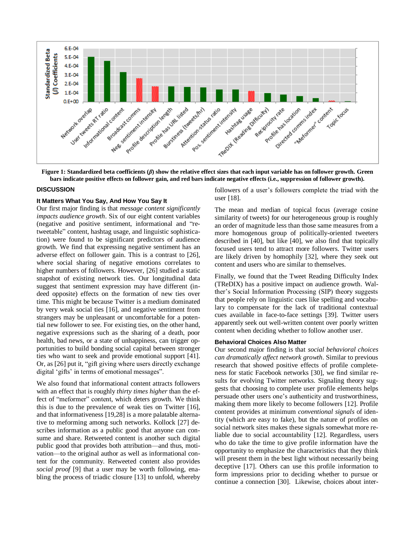

**Figure 1: Standardized beta coefficients (***β***) show the relative effect sizes that each input variable has on follower growth. Green bars indicate positive effects on follower gain, and red bars indicate negative effects (i.e., suppression of follower growth).**

# **DISCUSSION**

#### **It Matters What You Say, And How You Say It**

Our first major finding is that *message content significantly impacts audience growth*. Six of our eight content variables (negative and positive sentiment, informational and "retweetable" content, hashtag usage, and linguistic sophistication) were found to be significant predictors of audience growth. We find that expressing negative sentiment has an adverse effect on follower gain. This is a contrast to [26], where social sharing of negative emotions correlates to higher numbers of followers. However, [26] studied a static snapshot of existing network ties. Our longitudinal data suggest that sentiment expression may have different (indeed opposite) effects on the formation of new ties over time. This might be because Twitter is a medium dominated by very weak social ties [16], and negative sentiment from strangers may be unpleasant or uncomfortable for a potential new follower to see. For existing ties, on the other hand, negative expressions such as the sharing of a death, poor health, bad news, or a state of unhappiness, can trigger opportunities to build bonding social capital between stronger ties who want to seek and provide emotional support [41]. Or, as [26] put it, "gift giving where users directly exchange digital 'gifts' in terms of emotional messages".

We also found that informational content attracts followers with an effect that is roughly *thirty times higher* than the effect of "meformer" content, which deters growth. We think this is due to the prevalence of weak ties on Twitter [16], and that informativeness [19,28] is a more palatable alternative to meforming among such networks. Kollock [27] describes information as a public good that anyone can consume and share. Retweeted content is another such digital public good that provides both attribution—and thus, motivation—to the original author as well as informational content for the community. Retweeted content also provides *social proof* [9] that a user may be worth following, enabling the process of triadic closure [13] to unfold, whereby followers of a user's followers complete the triad with the user [18].

The mean and median of topical focus (average cosine similarity of tweets) for our heterogeneous group is roughly an order of magnitude less than those same measures from a more homogenous group of politically-oriented tweeters described in [40], but like [40], we also find that topically focused users tend to attract more followers. Twitter users are likely driven by homophily [32], where they seek out content and users who are similar to themselves.

Finally, we found that the Tweet Reading Difficulty Index (TReDIX) has a positive impact on audience growth. Walther's Social Information Processing (SIP) theory suggests that people rely on linguistic cues like spelling and vocabulary to compensate for the lack of traditional contextual cues available in face-to-face settings [39]. Twitter users apparently seek out well-written content over poorly written content when deciding whether to follow another user.

#### **Behavioral Choices Also Matter**

Our second major finding is that *social behavioral choices can dramatically affect network growth*. Similar to previous research that showed positive effects of profile completeness for static Facebook networks [30], we find similar results for evolving Twitter networks. Signaling theory suggests that choosing to complete user profile elements helps persuade other users one's authenticity and trustworthiness, making them more likely to become followers [12]. Profile content provides at minimum *conventional signals* of identity (which are easy to fake), but the nature of profiles on social network sites makes these signals somewhat more reliable due to social accountability [12]. Regardless, users who do take the time to give profile information have the opportunity to emphasize the characteristics that they think will present them in the best light without necessarily being deceptive [17]. Others can use this profile information to form impressions prior to deciding whether to pursue or continue a connection [30]. Likewise, choices about inter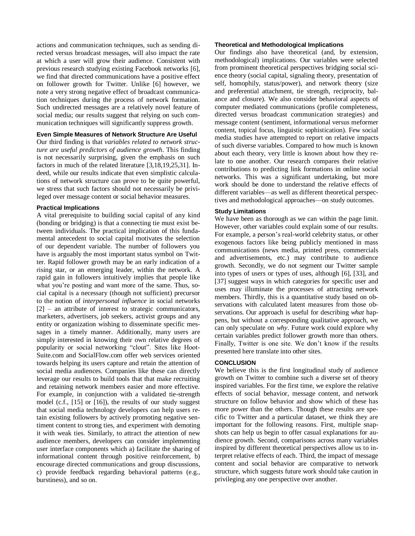actions and communication techniques, such as sending directed versus broadcast messages, will also impact the rate at which a user will grow their audience. Consistent with previous research studying existing Facebook networks [6], we find that directed communications have a positive effect on follower growth for Twitter. Unlike [6] however, we note a very strong negative effect of broadcast communication techniques during the process of network formation. Such undirected messages are a relatively novel feature of social media; our results suggest that relying on such communication techniques will significantly suppress growth.

# **Even Simple Measures of Network Structure Are Useful**

Our third finding is that *variables related to network structure are useful predictors of audience growth*. This finding is not necessarily surprising, given the emphasis on such factors in much of the related literature [3,18,19,25,31]. Indeed, while our results indicate that even simplistic calculations of network structure can prove to be quite powerful, we stress that such factors should not necessarily be privileged over message content or social behavior measures.

# **Practical Implications**

A vital prerequisite to building social capital of any kind (bonding or bridging) is that a connecting tie must exist between individuals. The practical implication of this fundamental antecedent to social capital motivates the selection of our dependent variable. The number of followers you have is arguably the most important status symbol on Twitter. Rapid follower growth may be an early indication of a rising star, or an emerging leader, within the network. A rapid gain in followers intuitively implies that people like what you're posting and want more of the same. Thus, social capital is a necessary (though not sufficient) precursor to the notion of *interpersonal influence* in social networks [2] – an attribute of interest to strategic communicators, marketers, advertisers, job seekers, activist groups and any entity or organization wishing to disseminate specific messages in a timely manner. Additionally, many users are simply interested in knowing their own relative degrees of popularity or social networking "clout". Sites like Hoot-Suite.com and SocialFlow.com offer web services oriented towards helping its users capture and retain the attention of social media audiences. Companies like these can directly leverage our results to build tools that that make recruiting and retaining network members easier and more effective. For example, in conjunction with a validated tie-strength model (c.f., [15] or [16]), the results of our study suggest that social media technology developers can help users retain existing followers by actively promoting negative sentiment content to strong ties, and experiment with demoting it with weak ties. Similarly, to attract the attention of new audience members, developers can consider implementing user interface components which a) facilitate the sharing of informational content through positive reinforcement, b) encourage directed communications and group discussions, c) provide feedback regarding behavioral patterns (e.g., burstiness), and so on.

# **Theoretical and Methodological Implications**

Our findings also have theoretical (and, by extension, methodological) implications. Our variables were selected from prominent theoretical perspectives bridging social science theory (social capital, signaling theory, presentation of self, homophily, status/power), and network theory (size and preferential attachment, tie strength, reciprocity, balance and closure). We also consider behavioral aspects of computer mediated communications (profile completeness, directed versus broadcast communication strategies) and message content (sentiment, informational versus meformer content, topical focus, linguistic sophistication). Few social media studies have attempted to report on relative impacts of such diverse variables. Compared to how much is known about each theory, very little is known about how they relate to one another. Our research compares their relative contributions to predicting link formations in online social networks. This was a significant undertaking, but more work should be done to understand the relative effects of different variables—as well as different theoretical perspectives and methodological approaches—on study outcomes.

# **Study Limitations**

We have been as thorough as we can within the page limit. However, other variables could explain some of our results. For example, a person's real-world celebrity status, or other exogenous factors like being publicly mentioned in mass communications (news media, printed press, commercials and advertisements, etc.) may contribute to audience growth. Secondly, we do not segment our Twitter sample into types of users or types of uses, although [6], [33], and [37] suggest ways in which categories for specific user and uses may illuminate the processes of attracting network members. Thirdly, this is a quantitative study based on observations with calculated latent measures from those observations. Our approach is useful for describing *what* happens, but without a corresponding qualitative approach, we can only speculate on *why*. Future work could explore why certain variables predict follower growth more than others. Finally, Twitter is one site. We don't know if the results presented here translate into other sites.

#### **CONCLUSION**

We believe this is the first longitudinal study of audience growth on Twitter to combine such a diverse set of theory inspired variables. For the first time, we explore the relative effects of social behavior, message content, and network structure on follow behavior and show which of these has more power than the others. Though these results are specific to Twitter and a particular dataset, we think they are important for the following reasons. First, multiple snapshots can help us begin to offer casual explanations for audience growth. Second, comparisons across many variables inspired by different theoretical perspectives allow us to interpret relative effects of each. Third, the impact of message content and social behavior are comparative to network structure, which suggests future work should take caution in privileging any one perspective over another.